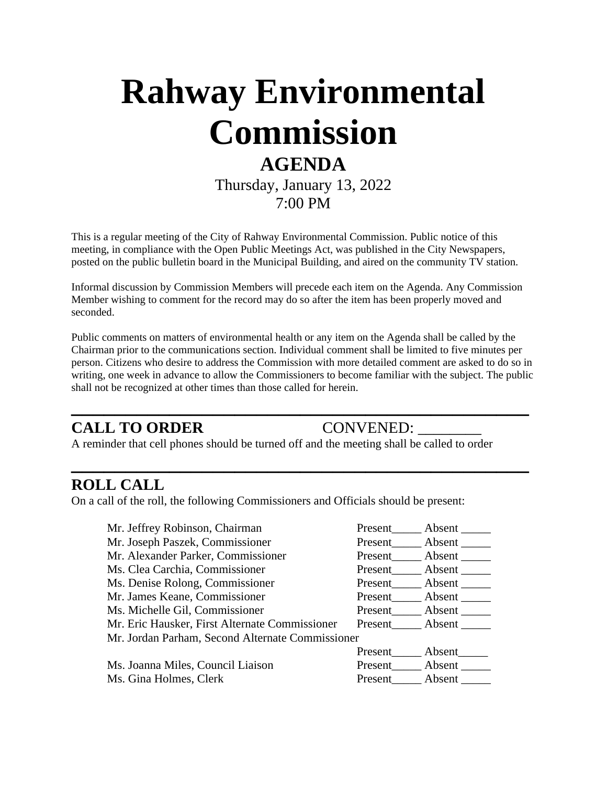# **Rahway Environmental Commission AGENDA** Thursday, January 13, 2022

7:00 PM

This is a regular meeting of the City of Rahway Environmental Commission. Public notice of this meeting, in compliance with the Open Public Meetings Act, was published in the City Newspapers, posted on the public bulletin board in the Municipal Building, and aired on the community TV station.

Informal discussion by Commission Members will precede each item on the Agenda. Any Commission Member wishing to comment for the record may do so after the item has been properly moved and seconded.

Public comments on matters of environmental health or any item on the Agenda shall be called by the Chairman prior to the communications section. Individual comment shall be limited to five minutes per person. Citizens who desire to address the Commission with more detailed comment are asked to do so in writing, one week in advance to allow the Commissioners to become familiar with the subject. The public shall not be recognized at other times than those called for herein.

**\_\_\_\_\_\_\_\_\_\_\_\_\_\_\_\_\_\_\_\_\_\_\_\_\_\_\_\_\_\_\_\_\_\_\_\_\_\_\_\_\_\_**

**\_\_\_\_\_\_\_\_\_\_\_\_\_\_\_\_\_\_\_\_\_\_\_\_\_\_\_\_\_\_\_\_\_\_\_\_\_\_\_\_\_\_**

# **CALL TO ORDER CONVENED:**

A reminder that cell phones should be turned off and the meeting shall be called to order

### **ROLL CALL**

On a call of the roll, the following Commissioners and Officials should be present:

| Mr. Jeffrey Robinson, Chairman                   | Present | Absent        |
|--------------------------------------------------|---------|---------------|
| Mr. Joseph Paszek, Commissioner                  | Present | Absent $\_\_$ |
| Mr. Alexander Parker, Commissioner               | Present | Absent        |
| Ms. Clea Carchia, Commissioner                   | Present | Absent        |
| Ms. Denise Rolong, Commissioner                  | Present | Absent        |
| Mr. James Keane, Commissioner                    | Present | Absent        |
| Ms. Michelle Gil, Commissioner                   | Present | Absent        |
| Mr. Eric Hausker, First Alternate Commissioner   | Present | Absent        |
| Mr. Jordan Parham, Second Alternate Commissioner |         |               |
|                                                  | Present | Absent        |
| Ms. Joanna Miles, Council Liaison                | Present | Absent        |
| Ms. Gina Holmes, Clerk                           | Present | Absent        |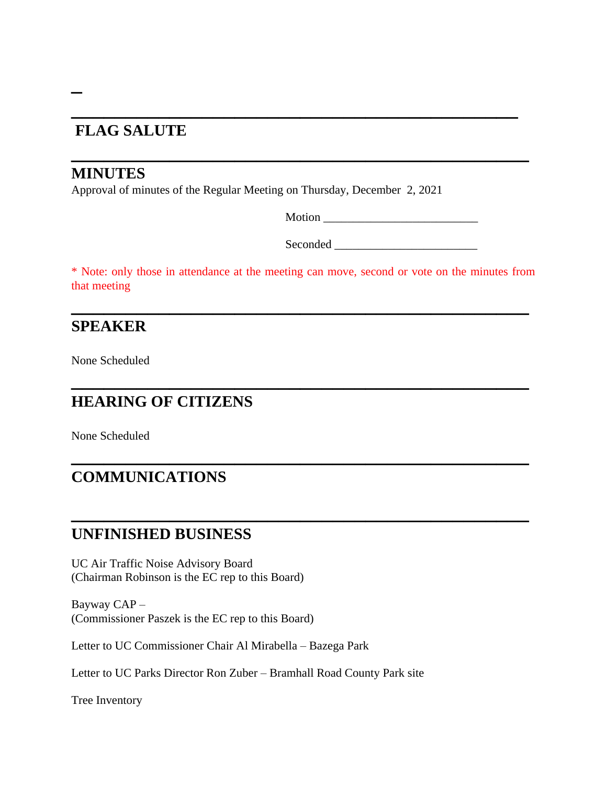# **\_\_\_\_\_\_\_\_\_\_\_\_\_\_\_\_\_\_\_\_\_\_\_\_\_\_\_\_\_\_\_\_\_\_\_\_\_\_\_\_\_ FLAG SALUTE**

#### **MINUTES**

**\_**

Approval of minutes of the Regular Meeting on Thursday, December 2, 2021

Motion \_\_\_\_\_\_\_\_\_\_\_\_\_\_\_\_\_\_\_\_\_\_\_\_\_\_

Seconded \_\_\_\_\_\_\_\_\_\_\_\_\_\_\_\_\_\_\_\_\_\_\_\_

\* Note: only those in attendance at the meeting can move, second or vote on the minutes from that meeting

**\_\_\_\_\_\_\_\_\_\_\_\_\_\_\_\_\_\_\_\_\_\_\_\_\_\_\_\_\_\_\_\_\_\_\_\_\_\_\_\_\_\_**

**\_\_\_\_\_\_\_\_\_\_\_\_\_\_\_\_\_\_\_\_\_\_\_\_\_\_\_\_\_\_\_\_\_\_\_\_\_\_\_\_\_\_**

**\_\_\_\_\_\_\_\_\_\_\_\_\_\_\_\_\_\_\_\_\_\_\_\_\_\_\_\_\_\_\_\_\_\_\_\_\_\_\_\_\_\_**

**\_\_\_\_\_\_\_\_\_\_\_\_\_\_\_\_\_\_\_\_\_\_\_\_\_\_\_\_\_\_\_\_\_\_\_\_\_\_\_\_\_\_**

**\_\_\_\_\_\_\_\_\_\_\_\_\_\_\_\_\_\_\_\_\_\_\_\_\_\_\_\_\_\_\_\_\_\_\_\_\_\_\_\_\_\_**

#### **SPEAKER**

None Scheduled

#### **HEARING OF CITIZENS**

None Scheduled

# **COMMUNICATIONS**

#### **UNFINISHED BUSINESS**

UC Air Traffic Noise Advisory Board (Chairman Robinson is the EC rep to this Board)

Bayway CAP – (Commissioner Paszek is the EC rep to this Board)

Letter to UC Commissioner Chair Al Mirabella – Bazega Park

Letter to UC Parks Director Ron Zuber – Bramhall Road County Park site

Tree Inventory